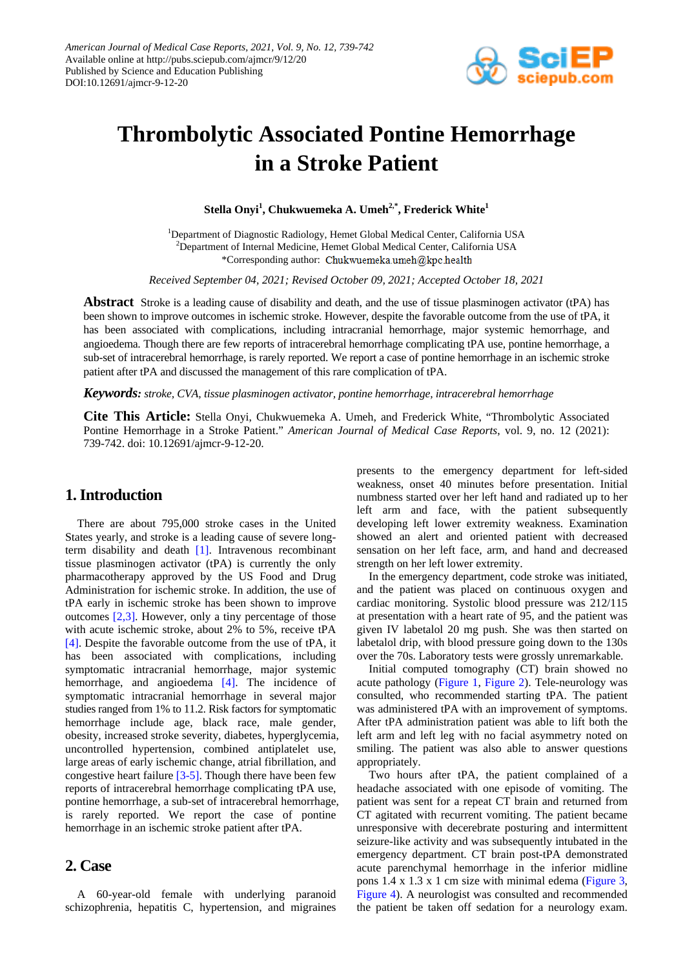

# **Thrombolytic Associated Pontine Hemorrhage in a Stroke Patient**

**Stella Onyi1 , Chukwuemeka A. Umeh2,\*, Frederick White1**

<sup>1</sup>Department of Diagnostic Radiology, Hemet Global Medical Center, California USA <sup>2</sup>Department of Internal Medicine, Hemet Global Medical Center, California USA \*Corresponding author: Chukwuemeka.umeh@kpc.health

*Received September 04, 2021; Revised October 09, 2021; Accepted October 18, 2021*

**Abstract** Stroke is a leading cause of disability and death, and the use of tissue plasminogen activator (tPA) has been shown to improve outcomes in ischemic stroke. However, despite the favorable outcome from the use of tPA, it has been associated with complications, including intracranial hemorrhage, major systemic hemorrhage, and angioedema. Though there are few reports of intracerebral hemorrhage complicating tPA use, pontine hemorrhage, a sub-set of intracerebral hemorrhage, is rarely reported. We report a case of pontine hemorrhage in an ischemic stroke patient after tPA and discussed the management of this rare complication of tPA.

*Keywords: stroke, CVA, tissue plasminogen activator, pontine hemorrhage, intracerebral hemorrhage*

**Cite This Article:** Stella Onyi, Chukwuemeka A. Umeh, and Frederick White, "Thrombolytic Associated Pontine Hemorrhage in a Stroke Patient." *American Journal of Medical Case Reports*, vol. 9, no. 12 (2021): 739-742. doi: 10.12691/ajmcr-9-12-20.

## **1. Introduction**

There are about 795,000 stroke cases in the United States yearly, and stroke is a leading cause of severe longterm disability and death [\[1\].](#page-3-0) Intravenous recombinant tissue plasminogen activator (tPA) is currently the only pharmacotherapy approved by the US Food and Drug Administration for ischemic stroke. In addition, the use of tPA early in ischemic stroke has been shown to improve outcomes [\[2,3\].](#page-3-1) However, only a tiny percentage of those with acute ischemic stroke, about 2% to 5%, receive tPA [\[4\].](#page-3-2) Despite the favorable outcome from the use of tPA, it has been associated with complications, including symptomatic intracranial hemorrhage, major systemic hemorrhage, and angioedema [\[4\].](#page-3-2) The incidence of symptomatic intracranial hemorrhage in several major studies ranged from 1% to 11.2. Risk factors for symptomatic hemorrhage include age, black race, male gender, obesity, increased stroke severity, diabetes, hyperglycemia, uncontrolled hypertension, combined antiplatelet use, large areas of early ischemic change, atrial fibrillation, and congestive heart failure [\[3-5\].](#page-3-3) Though there have been few reports of intracerebral hemorrhage complicating tPA use, pontine hemorrhage, a sub-set of intracerebral hemorrhage, is rarely reported. We report the case of pontine hemorrhage in an ischemic stroke patient after tPA.

#### **2. Case**

A 60-year-old female with underlying paranoid schizophrenia, hepatitis C, hypertension, and migraines presents to the emergency department for left-sided weakness, onset 40 minutes before presentation. Initial numbness started over her left hand and radiated up to her left arm and face, with the patient subsequently developing left lower extremity weakness. Examination showed an alert and oriented patient with decreased sensation on her left face, arm, and hand and decreased strength on her left lower extremity.

In the emergency department, code stroke was initiated, and the patient was placed on continuous oxygen and cardiac monitoring. Systolic blood pressure was 212/115 at presentation with a heart rate of 95, and the patient was given IV labetalol 20 mg push. She was then started on labetalol drip, with blood pressure going down to the 130s over the 70s. Laboratory tests were grossly unremarkable.

Initial computed tomography (CT) brain showed no acute pathology [\(Figure 1,](#page-1-0) [Figure 2\)](#page-1-1). Tele-neurology was consulted, who recommended starting tPA. The patient was administered tPA with an improvement of symptoms. After tPA administration patient was able to lift both the left arm and left leg with no facial asymmetry noted on smiling. The patient was also able to answer questions appropriately.

Two hours after tPA, the patient complained of a headache associated with one episode of vomiting. The patient was sent for a repeat CT brain and returned from CT agitated with recurrent vomiting. The patient became unresponsive with decerebrate posturing and intermittent seizure-like activity and was subsequently intubated in the emergency department. CT brain post-tPA demonstrated acute parenchymal hemorrhage in the inferior midline pons 1.4 x 1.3 x 1 cm size with minimal edema [\(Figure 3,](#page-2-0) [Figure 4\)](#page-2-1). A neurologist was consulted and recommended the patient be taken off sedation for a neurology exam.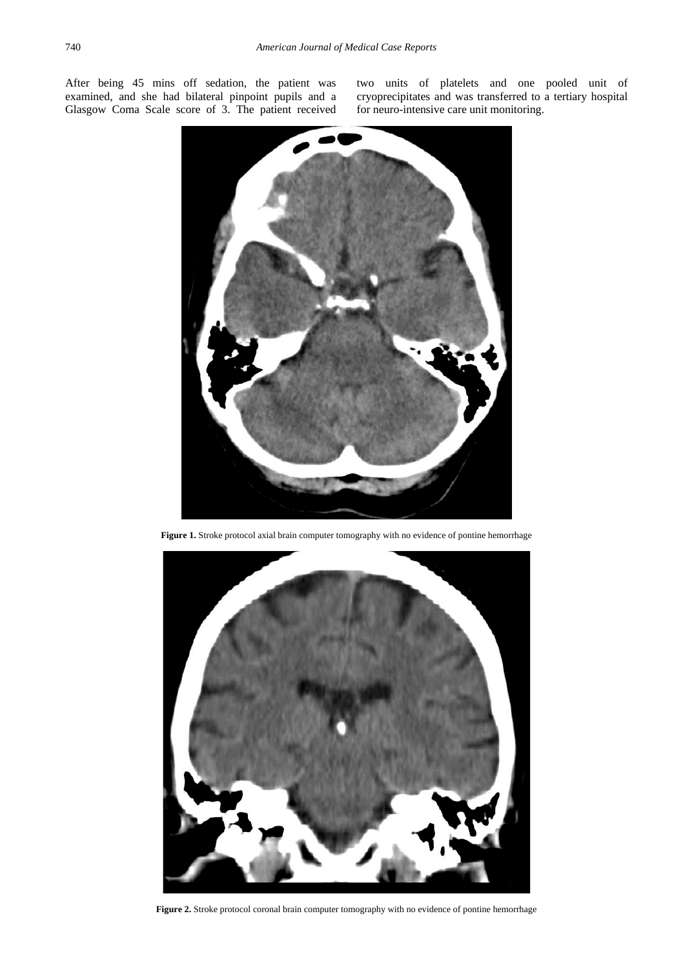<span id="page-1-0"></span>After being 45 mins off sedation, the patient was examined, and she had bilateral pinpoint pupils and a Glasgow Coma Scale score of 3. The patient received

two units of platelets and one pooled unit of cryoprecipitates and was transferred to a tertiary hospital for neuro-intensive care unit monitoring.



Figure 1. Stroke protocol axial brain computer tomography with no evidence of pontine hemorrhage

<span id="page-1-1"></span>

**Figure 2.** Stroke protocol coronal brain computer tomography with no evidence of pontine hemorrhage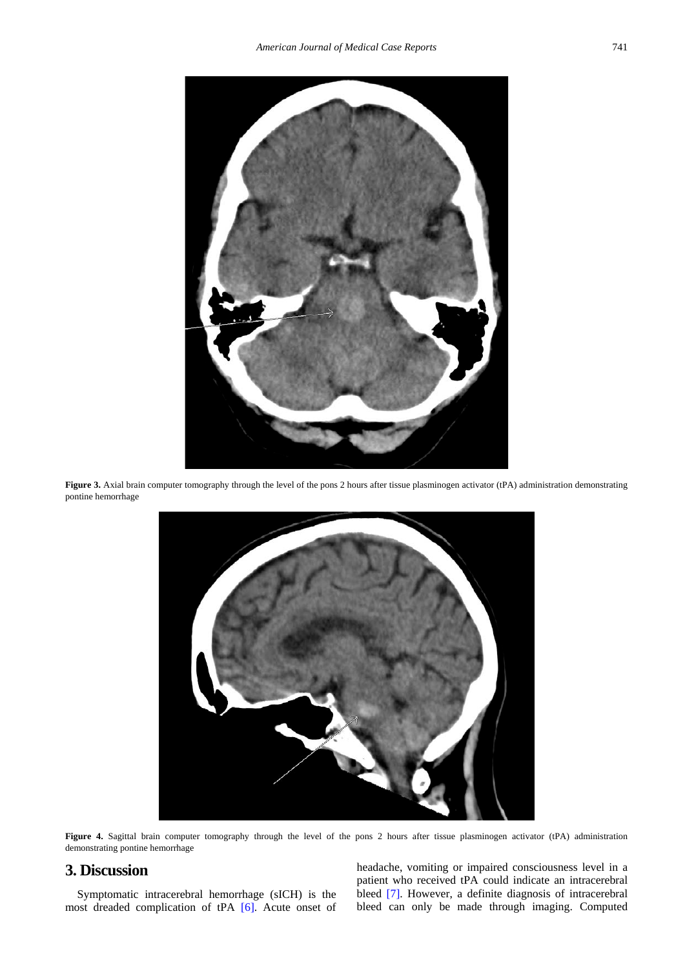<span id="page-2-0"></span>

Figure 3. Axial brain computer tomography through the level of the pons 2 hours after tissue plasminogen activator (tPA) administration demonstrating pontine hemorrhage

<span id="page-2-1"></span>

Figure 4. Sagittal brain computer tomography through the level of the pons 2 hours after tissue plasminogen activator (tPA) administration demonstrating pontine hemorrhage

### **3. Discussion**

Symptomatic intracerebral hemorrhage (sICH) is the most dreaded complication of tPA [\[6\].](#page-3-4) Acute onset of headache, vomiting or impaired consciousness level in a patient who received tPA could indicate an intracerebral bleed [\[7\].](#page-3-5) However, a definite diagnosis of intracerebral bleed can only be made through imaging. Computed